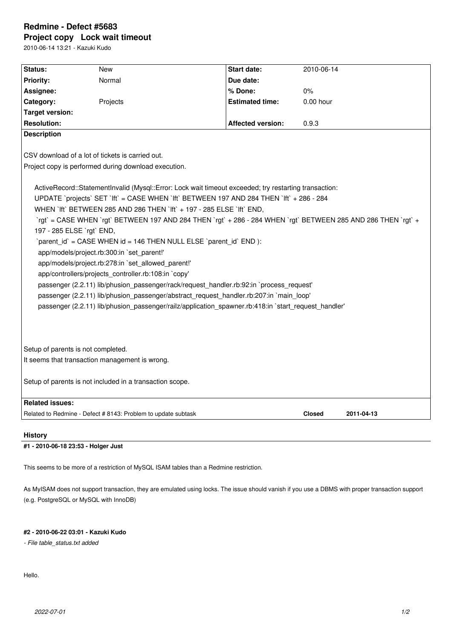# **Redmine - Defect #5683 Project copy Lock wait timeout**

2010-06-14 13:21 - Kazuki Kudo

| Status:                                                                                                        | <b>New</b>                                                   | <b>Start date:</b>       | 2010-06-14    |            |
|----------------------------------------------------------------------------------------------------------------|--------------------------------------------------------------|--------------------------|---------------|------------|
| <b>Priority:</b>                                                                                               | Normal                                                       | Due date:                |               |            |
|                                                                                                                |                                                              | % Done:                  | $0\%$         |            |
| Assignee:                                                                                                      |                                                              | <b>Estimated time:</b>   | $0.00$ hour   |            |
| Category:                                                                                                      | Projects                                                     |                          |               |            |
| <b>Target version:</b>                                                                                         |                                                              |                          |               |            |
| <b>Resolution:</b>                                                                                             |                                                              | <b>Affected version:</b> | 0.9.3         |            |
| <b>Description</b>                                                                                             |                                                              |                          |               |            |
|                                                                                                                |                                                              |                          |               |            |
| CSV download of a lot of tickets is carried out.                                                               |                                                              |                          |               |            |
| Project copy is performed during download execution.                                                           |                                                              |                          |               |            |
|                                                                                                                |                                                              |                          |               |            |
| ActiveRecord::StatementInvalid (Mysql::Error: Lock wait timeout exceeded; try restarting transaction:          |                                                              |                          |               |            |
| UPDATE `projects` SET `lft` = CASE WHEN `lft` BETWEEN 197 AND 284 THEN `lft` + 286 - 284                       |                                                              |                          |               |            |
| WHEN `Ift` BETWEEN 285 AND 286 THEN `Ift` + 197 - 285 ELSE `Ift` END,                                          |                                                              |                          |               |            |
| `rgt` = CASE WHEN `rgt` BETWEEN 197 AND 284 THEN `rgt` + 286 - 284 WHEN `rgt` BETWEEN 285 AND 286 THEN `rgt` + |                                                              |                          |               |            |
| 197 - 285 ELSE `rgt` END,                                                                                      |                                                              |                          |               |            |
| `parent id` = CASE WHEN id = 146 THEN NULL ELSE `parent id` END ):                                             |                                                              |                          |               |            |
| app/models/project.rb:300:in `set_parent!'                                                                     |                                                              |                          |               |            |
| app/models/project.rb:278:in `set allowed parent!'                                                             |                                                              |                          |               |            |
| app/controllers/projects_controller.rb:108:in `copy'                                                           |                                                              |                          |               |            |
| passenger (2.2.11) lib/phusion passenger/rack/request handler.rb:92:in `process request'                       |                                                              |                          |               |            |
| passenger (2.2.11) lib/phusion_passenger/abstract_request_handler.rb:207:in `main_loop'                        |                                                              |                          |               |            |
| passenger (2.2.11) lib/phusion passenger/railz/application spawner.rb:418:in start request handler'            |                                                              |                          |               |            |
|                                                                                                                |                                                              |                          |               |            |
|                                                                                                                |                                                              |                          |               |            |
|                                                                                                                |                                                              |                          |               |            |
|                                                                                                                |                                                              |                          |               |            |
| Setup of parents is not completed.                                                                             |                                                              |                          |               |            |
| It seems that transaction management is wrong.                                                                 |                                                              |                          |               |            |
|                                                                                                                |                                                              |                          |               |            |
| Setup of parents is not included in a transaction scope.                                                       |                                                              |                          |               |            |
|                                                                                                                |                                                              |                          |               |            |
| <b>Related issues:</b>                                                                                         |                                                              |                          |               |            |
|                                                                                                                | Related to Redmine - Defect #8143: Problem to update subtask |                          | <b>Closed</b> | 2011-04-13 |
|                                                                                                                |                                                              |                          |               |            |

#### **History**

#### **#1 - 2010-06-18 23:53 - Holger Just**

This seems to be more of a restriction of MySQL ISAM tables than a Redmine restriction.

As MyISAM does not support transaction, they are emulated using locks. The issue should vanish if you use a DBMS with proper transaction support (e.g. PostgreSQL or MySQL with InnoDB)

### **#2 - 2010-06-22 03:01 - Kazuki Kudo**

*- File table\_status.txt added*

Hello.